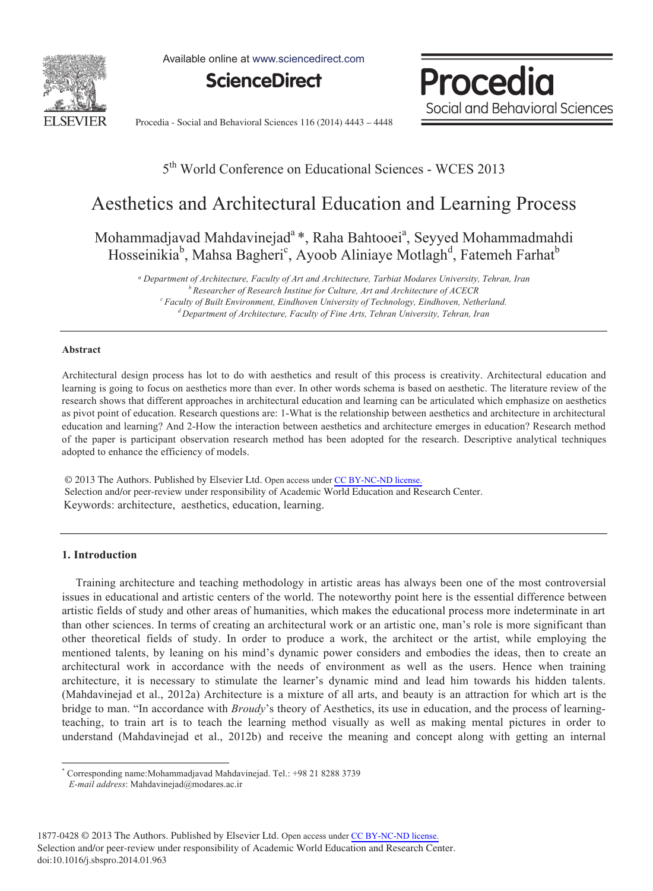

Available online at www.sciencedirect.com

**ScienceDirect**

Procedia Social and Behavioral Sciences

Procedia - Social and Behavioral Sciences 116 (2014) 4443 - 4448

### 5th World Conference on Educational Sciences - WCES 2013

## Aesthetics and Architectural Education and Learning Process

Mohammadjavad Mahdavinejad<sup>a</sup>\*, Raha Bahtooei<sup>a</sup>, Seyyed Mohammadmahdi Hosseinikia<sup>b</sup>, Mahsa Bagheri<sup>c</sup>, Ayoob Aliniaye Motlagh<sup>d</sup>, Fatemeh Farhat<sup>b</sup>

*- Department of Architecture, Faculty of Art and Architecture, Tarbiat Modares University, Tehran, Iran b Researcher of Research Institue for Culture, Art and Architecture of ACECR c Faculty of Built Environment, Eindhoven University of Technology, Eindhoven, Netherland. d Department of Architecture, Faculty of Fine Arts, Tehran University, Tehran, Iran* 

#### **Abstract**

Architectural design process has lot to do with aesthetics and result of this process is creativity. Architectural education and learning is going to focus on aesthetics more than ever. In other words schema is based on aesthetic. The literature review of the research shows that different approaches in architectural education and learning can be articulated which emphasize on aesthetics as pivot point of education. Research questions are: 1-What is the relationship between aesthetics and architecture in architectural education and learning? And 2-How the interaction between aesthetics and architecture emerges in education? Research method of the paper is participant observation research method has been adopted for the research. Descriptive analytical techniques adopted to enhance the efficiency of models.

© 2013 The Authors. Published by Elsevier Ltd. Open access under CC BY-NC-ND license. Selection and/or peer-review under responsibility of Academic World Education and Research Center. Keywords: architecture, aesthetics, education, learning.

#### **1. Introduction**

-

Training architecture and teaching methodology in artistic areas has always been one of the most controversial issues in educational and artistic centers of the world. The noteworthy point here is the essential difference between artistic fields of study and other areas of humanities, which makes the educational process more indeterminate in art than other sciences. In terms of creating an architectural work or an artistic one, man's role is more significant than other theoretical fields of study. In order to produce a work, the architect or the artist, while employing the mentioned talents, by leaning on his mind's dynamic power considers and embodies the ideas, then to create an architectural work in accordance with the needs of environment as well as the users. Hence when training architecture, it is necessary to stimulate the learner's dynamic mind and lead him towards his hidden talents. (Mahdavinejad et al., 2012a) Architecture is a mixture of all arts, and beauty is an attraction for which art is the bridge to man. "In accordance with *Broudy*'s theory of Aesthetics, its use in education, and the process of learningteaching, to train art is to teach the learning method visually as well as making mental pictures in order to understand (Mahdavinejad et al., 2012b) and receive the meaning and concept along with getting an internal

<sup>\*</sup> Corresponding name:Mohammadjavad Mahdavinejad. Tel.: +98 21 8288 3739

*E-mail address*: Mahdavinejad@modares.ac.ir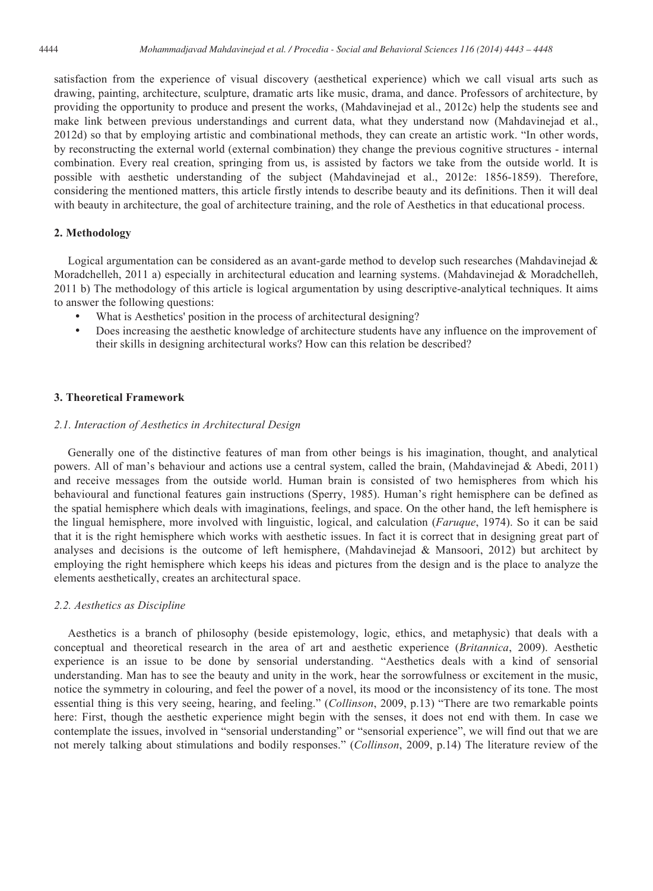satisfaction from the experience of visual discovery (aesthetical experience) which we call visual arts such as drawing, painting, architecture, sculpture, dramatic arts like music, drama, and dance. Professors of architecture, by providing the opportunity to produce and present the works, (Mahdavinejad et al., 2012c) help the students see and make link between previous understandings and current data, what they understand now (Mahdavinejad et al., 2012d) so that by employing artistic and combinational methods, they can create an artistic work. "In other words, by reconstructing the external world (external combination) they change the previous cognitive structures - internal combination. Every real creation, springing from us, is assisted by factors we take from the outside world. It is possible with aesthetic understanding of the subject (Mahdavinejad et al., 2012e: 1856-1859). Therefore, considering the mentioned matters, this article firstly intends to describe beauty and its definitions. Then it will deal with beauty in architecture, the goal of architecture training, and the role of Aesthetics in that educational process.

#### **2. Methodology**

Logical argumentation can be considered as an avant-garde method to develop such researches (Mahdavinejad & Moradchelleh, 2011 a) especially in architectural education and learning systems. (Mahdavinejad & Moradchelleh, 2011 b) The methodology of this article is logical argumentation by using descriptive-analytical techniques. It aims to answer the following questions:

- What is Aesthetics' position in the process of architectural designing?
- Does increasing the aesthetic knowledge of architecture students have any influence on the improvement of their skills in designing architectural works? How can this relation be described?

#### **3. Theoretical Framework**

#### *2.1. Interaction of Aesthetics in Architectural Design*

Generally one of the distinctive features of man from other beings is his imagination, thought, and analytical powers. All of man's behaviour and actions use a central system, called the brain, (Mahdavinejad & Abedi, 2011) and receive messages from the outside world. Human brain is consisted of two hemispheres from which his behavioural and functional features gain instructions (Sperry, 1985). Human's right hemisphere can be defined as the spatial hemisphere which deals with imaginations, feelings, and space. On the other hand, the left hemisphere is the lingual hemisphere, more involved with linguistic, logical, and calculation (*Faruque*, 1974). So it can be said that it is the right hemisphere which works with aesthetic issues. In fact it is correct that in designing great part of analyses and decisions is the outcome of left hemisphere, (Mahdavinejad & Mansoori, 2012) but architect by employing the right hemisphere which keeps his ideas and pictures from the design and is the place to analyze the elements aesthetically, creates an architectural space.

#### *2.2. Aesthetics as Discipline*

Aesthetics is a branch of philosophy (beside epistemology, logic, ethics, and metaphysic) that deals with a conceptual and theoretical research in the area of art and aesthetic experience (*Britannica*, 2009). Aesthetic experience is an issue to be done by sensorial understanding. "Aesthetics deals with a kind of sensorial understanding. Man has to see the beauty and unity in the work, hear the sorrowfulness or excitement in the music, notice the symmetry in colouring, and feel the power of a novel, its mood or the inconsistency of its tone. The most essential thing is this very seeing, hearing, and feeling." (*Collinson*, 2009, p.13) "There are two remarkable points here: First, though the aesthetic experience might begin with the senses, it does not end with them. In case we contemplate the issues, involved in "sensorial understanding" or "sensorial experience", we will find out that we are not merely talking about stimulations and bodily responses." (*Collinson*, 2009, p.14) The literature review of the